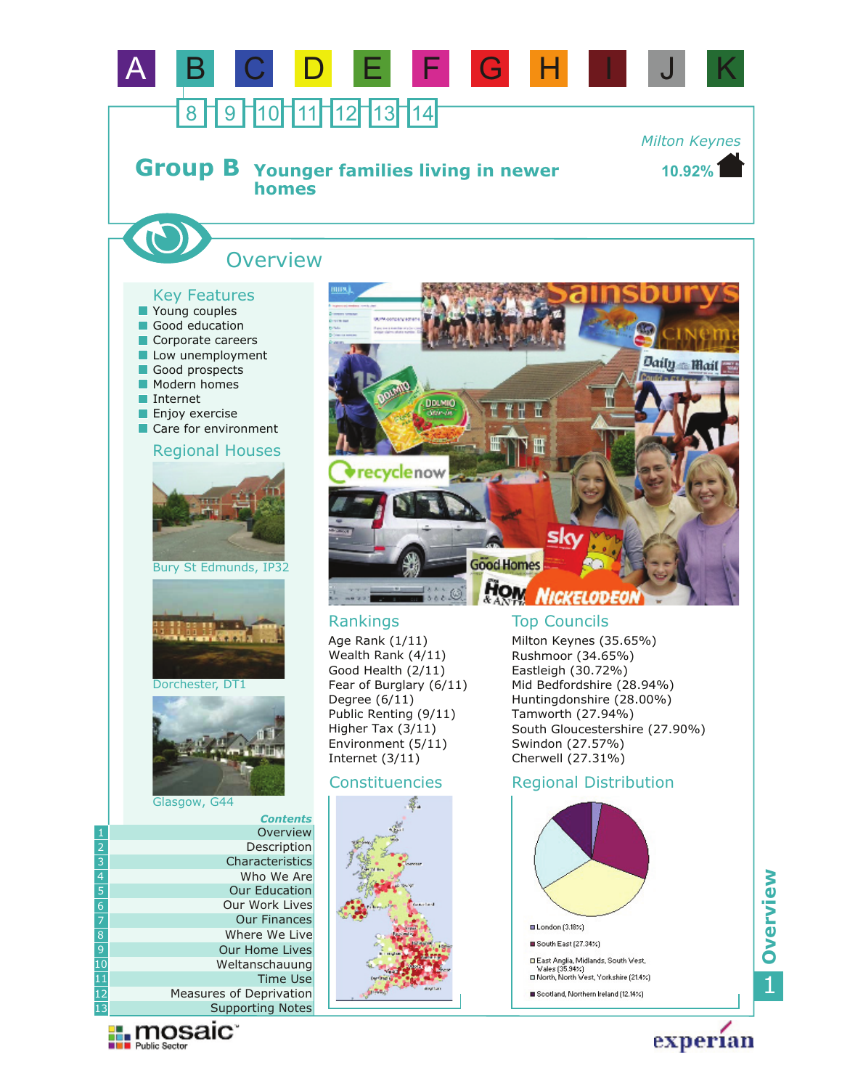

experian

Scotland, Northern Ireland (12.14%)

1**Overview**

12 13

**Exploration** 

Supporting Notes Measures of Deprivation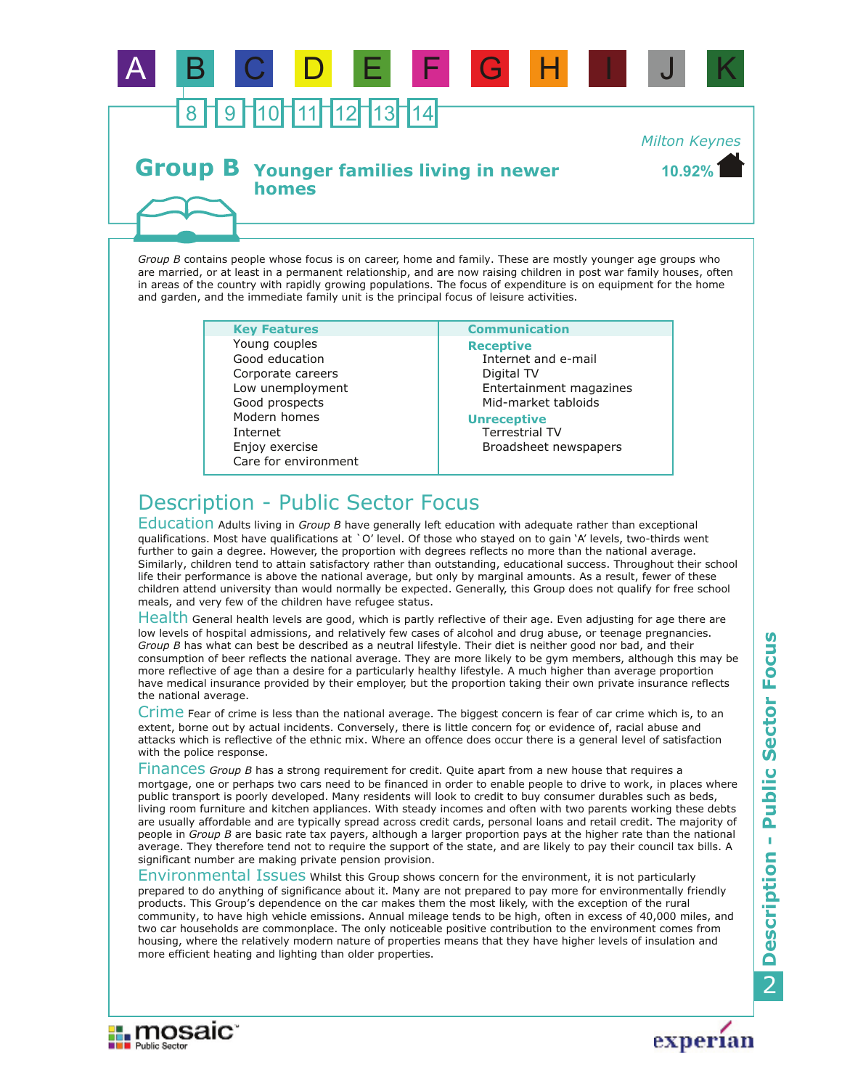

## **Group B** Younger families living in newer **homes**

**10.92%** *Milton Keynes*

*Group B* contains people whose focus is on career, home and family. These are mostly younger age groups who are married, or at least in a permanent relationship, and are now raising children in post war family houses, often in areas of the country with rapidly growing populations. The focus of expenditure is on equipment for the home and garden, and the immediate family unit is the principal focus of leisure activities.

> **Key Features Communication** Enjoy exercise Internet Corporate careers Low unemployment Good prospects Care for environment Modern homes Good education Young couples

**Receptive** Internet and e-mail Digital TV Entertainment magazines Mid-market tabloids

### **Unreceptive**

Terrestrial TV Broadsheet newspapers

# Description - Public Sector Focus

**Explorance in The Public Sector** 

Education Adults living in *Group B* have generally left education with adequate rather than exceptional qualifications. Most have qualifications at `O' level. Of those who stayed on to gain `A' levels, two-thirds went further to gain a degree. However, the proportion with degrees reflects no more than the national average. Similarly, children tend to attain satisfactory rather than outstanding, educational success. Throughout their school life their performance is above the national average, but only by marginal amounts. As a result, fewer of these children attend university than would normally be expected. Generally, this Group does not qualify for free school meals, and very few of the children have refugee status.

Health General health levels are good, which is partly reflective of their age. Even adjusting for age there are low levels of hospital admissions, and relatively few cases of alcohol and drug abuse, or teenage pregnancies. *Group B* has what can best be described as a neutral lifestyle. Their diet is neither good nor bad, and their consumption of beer reflects the national average. They are more likely to be gym members, although this may be more reflective of age than a desire for a particularly healthy lifestyle. A much higher than average proportion have medical insurance provided by their employer, but the proportion taking their own private insurance reflects the national average.

Crime Fear of crime is less than the national average. The biggest concern is fear of car crime which is, to an extent, borne out by actual incidents. Conversely, there is little concern for, or evidence of, racial abuse and attacks which is reflective of the ethnic mix. Where an offence does occur there is a general level of satisfaction with the police response.

Finances Group B has a strong requirement for credit. Quite apart from a new house that requires a mortgage, one or perhaps two cars need to be financed in order to enable people to drive to work, in places where public transport is poorly developed. Many residents will look to credit to buy consumer durables such as beds, living room furniture and kitchen appliances. With steady incomes and often with two parents working these debts are usually affordable and are typically spread across credit cards, personal loans and retail credit. The majority of people in *Group B* are basic rate tax payers, although a larger proportion pays at the higher rate than the national average. They therefore tend not to require the support of the state, and are likely to pay their council tax bills. A significant number are making private pension provision.

Environmental Issues Whilst this Group shows concern for the environment, it is not particularly prepared to do anything of significance about it. Many are not prepared to pay more for environmentally friendly products. This Group's dependence on the car makes them the most likely, with the exception of the rural community, to have high vehicle emissions. Annual mileage tends to be high, often in excess of 40,000 miles, and two car households are commonplace. The only noticeable positive contribution to the environment comes from housing, where the relatively modern nature of properties means that they have higher levels of insulation and more efficient heating and lighting than older properties.

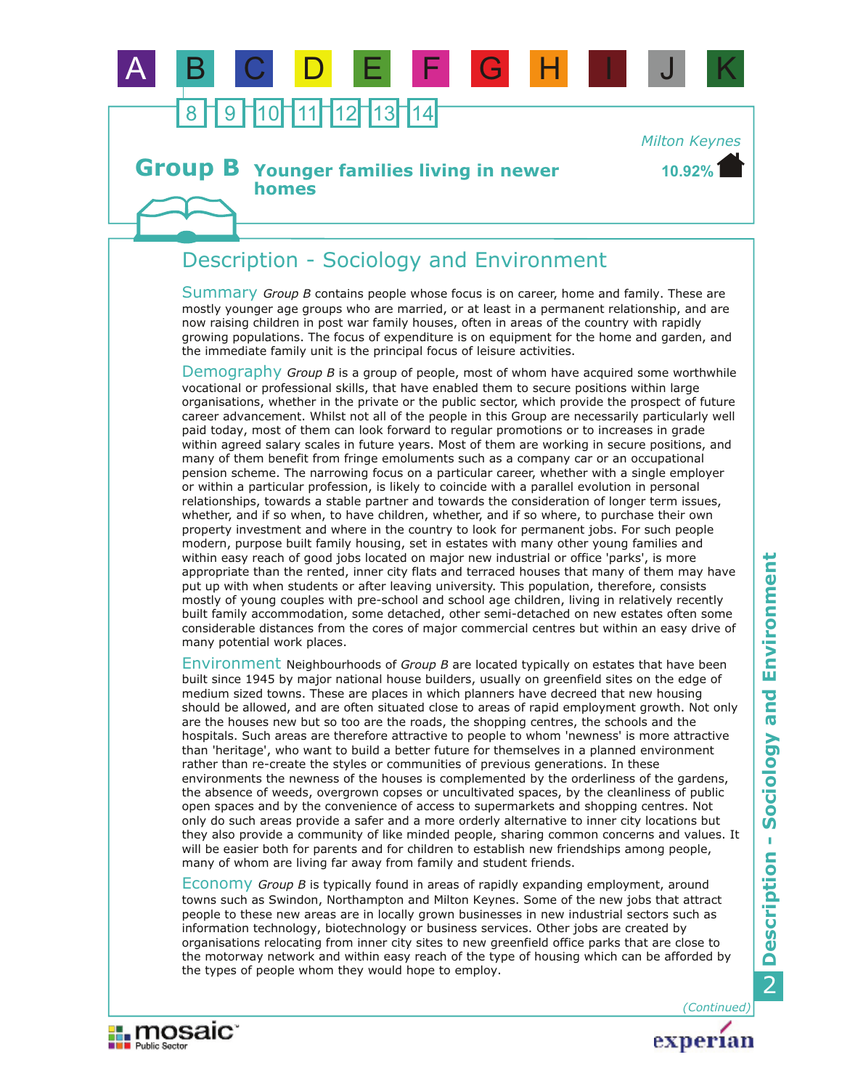

#### **Younger families living in newer homes Group B**

# Description - Sociology and Environment

Summary Group B contains people whose focus is on career, home and family. These are mostly younger age groups who are married, or at least in a permanent relationship, and are now raising children in post war family houses, often in areas of the country with rapidly growing populations. The focus of expenditure is on equipment for the home and garden, and the immediate family unit is the principal focus of leisure activities.

Demography Group B is a group of people, most of whom have acquired some worthwhile vocational or professional skills, that have enabled them to secure positions within large organisations, whether in the private or the public sector, which provide the prospect of future career advancement. Whilst not all of the people in this Group are necessarily particularly well paid today, most of them can look forward to regular promotions or to increases in grade within agreed salary scales in future years. Most of them are working in secure positions, and many of them benefit from fringe emoluments such as a company car or an occupational pension scheme. The narrowing focus on a particular career, whether with a single employer or within a particular profession, is likely to coincide with a parallel evolution in personal relationships, towards a stable partner and towards the consideration of longer term issues, whether, and if so when, to have children, whether, and if so where, to purchase their own property investment and where in the country to look for permanent jobs. For such people modern, purpose built family housing, set in estates with many other young families and within easy reach of good jobs located on major new industrial or office 'parks', is more appropriate than the rented, inner city flats and terraced houses that many of them may have put up with when students or after leaving university. This population, therefore, consists mostly of young couples with pre-school and school age children, living in relatively recently built family accommodation, some detached, other semi-detached on new estates often some considerable distances from the cores of major commercial centres but within an easy drive of many potential work places.

Environment Neighbourhoods of *Group B* are located typically on estates that have been built since 1945 by major national house builders, usually on greenfield sites on the edge of medium sized towns. These are places in which planners have decreed that new housing should be allowed, and are often situated close to areas of rapid employment growth. Not only are the houses new but so too are the roads, the shopping centres, the schools and the hospitals. Such areas are therefore attractive to people to whom 'newness' is more attractive than 'heritage', who want to build a better future for themselves in a planned environment rather than re-create the styles or communities of previous generations. In these environments the newness of the houses is complemented by the orderliness of the gardens, the absence of weeds, overgrown copses or uncultivated spaces, by the cleanliness of public open spaces and by the convenience of access to supermarkets and shopping centres. Not only do such areas provide a safer and a more orderly alternative to inner city locations but they also provide a community of like minded people, sharing common concerns and values. It will be easier both for parents and for children to establish new friendships among people, many of whom are living far away from family and student friends.

Economy Group B is typically found in areas of rapidly expanding employment, around towns such as Swindon, Northampton and Milton Keynes. Some of the new jobs that attract people to these new areas are in locally grown businesses in new industrial sectors such as information technology, biotechnology or business services. Other jobs are created by organisations relocating from inner city sites to new greenfield office parks that are close to the motorway network and within easy reach of the type of housing which can be afforded by the types of people whom they would hope to employ.





*(Continued)*

**10.92%**

*Milton Keynes*